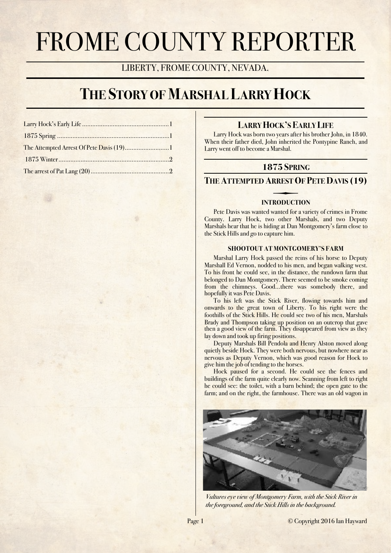# FROME COUNTY REPORTER

LIBERTY, FROME COUNTY, NEVADA.

# **THE STORY OF MARSHAL LARRY HOCK**

| 1875 Winter 2 |  |
|---------------|--|
|               |  |

# <span id="page-0-0"></span>**LARRY HOCK'S EARLY LIFE**

Larry Hock was born two years after his brother John, in 1840. When their father died, John inherited the Pontypine Ranch, and Larry went off to become a Marshal.

# <span id="page-0-1"></span>**1875 SPRING**

# <span id="page-0-2"></span>**THE ATTEMPTED ARREST OF PETE DAVIS (19)**

# **INTRODUCTION**

Pete Davis was wanted wanted for a variety of crimes in Frome County. Larry Hock, two other Marshals, and two Deputy Marshals hear that he is hiding at Dan Montgomery's farm close to the Stick Hills and go to capture him.

## **SHOOTOUT AT MONTGOMERY'S FARM**

Marshal Larry Hock passed the reins of his horse to Deputy Marshall Ed Vernon, nodded to his men, and began walking west. To his front he could see, in the distance, the rundown farm that belonged to Dan Montgomery. There seemed to be smoke coming from the chimneys. Good…there was somebody there, and hopefully it was Pete Davis.

To his left was the Stick River, flowing towards him and onwards to the great town of Liberty. To his right were the foothills of the Stick Hills. He could see two of his men, Marshals Brady and Thompson taking up position on an outcrop that gave then a good view of the farm. They disappeared from view as they lay down and took up firing positions.

Deputy Marshals Bill Pendola and Henry Alston moved along quietly beside Hock. They were both nervous, but nowhere near as nervous as Deputy Vernon, which was good reason for Hock to give him the job of tending to the horses.

Hock paused for a second. He could see the fences and buildings of the farm quite clearly now. Scanning from left to right he could see: the toilet, with a barn behind; the open gate to the farm; and on the right, the farmhouse. There was an old wagon in



*Vultures eye view of Montgomery Farm, with the Stick River in the foreground, and the Stick Hills in the background.*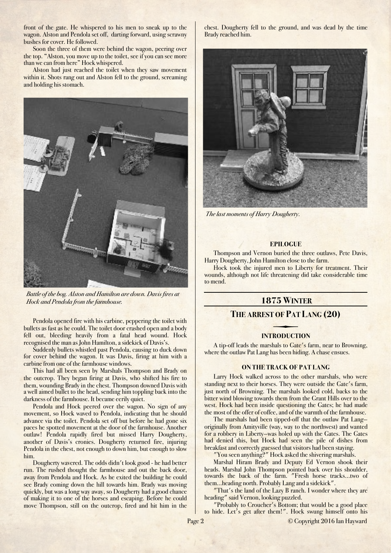front of the gate. He whispered to his men to sneak up to the wagon. Alston and Pendola set off, darting forward, using scrawny bushes for cover. He followed.

Soon the three of them were behind the wagon, peering over the top. "Alston, you move up to the toilet, see if you can see more than we can from here" Hock whispered.

Alston had just reached the toilet when they saw movement within it. Shots rang out and Alston fell to the ground, screaming and holding his stomach.



*Battle of the bog. Alston and Hamilton are down. Davis fires at Hock and Pendola from the farmhouse.*

Pendola opened fire with his carbine, peppering the toilet with bullets as fast as he could. The toilet door crashed open and a body fell out, bleeding heavily from a fatal head wound. Hock recognised the man as John Hamilton, a sidekick of Davis's.

Suddenly bullets whistled past Pendola, causing to duck down for cover behind the wagon. It was Davis, firing at him with a carbine from one of the farmhouse windows.

This had all been seen by Marshals Thompson and Brady on the outcrop. They began firing at Davis, who shifted his fire to them, wounding Brady in the chest. Thompson downed Davis with a well aimed bullet to the head, sending him toppling back into the darkness of the farmhouse. It became eerily quiet.

Pendola and Hock peered over the wagon. No sign of any movement, so Hock waved to Pendola, indicating that he should advance via the toilet. Pendola set off but before he had gone six paces he spotted movement at the door of the farmhouse. Another outlaw! Pendola rapidly fired but missed Harry Dougherty, another of Davis's cronies. Dougherty returned fire, injuring Pendola in the chest, not enough to down him, but enough to slow him.

Dougherty wavered. The odds didn't look good - he had better run. The rushed thought the farmhouse and out the back door, away from Pendola and Hock. As he exited the building he could see Brady coming down the hill towards him. Brady was moving quickly, but was a long way away, so Dougherty had a good chance of making it to one of the horses and escaping. Before he could move Thompson, still on the outcrop, fired and hit him in the chest. Dougherty fell to the ground, and was dead by the time Brady reached him.



*The last moments of Harry Dougherty.*

#### **EPILOGUE**

Thompson and Vernon buried the three outlaws, Pete Davis, Harry Dougherty, John Hamilton close to the farm.

Hock took the injured men to Liberty for treatment. Their wounds, although not life threatening did take considerable time to mend.

# <span id="page-1-0"></span> **1875 WINTER**

# <span id="page-1-1"></span>**THE ARREST OF PAT LANG (20)**

#### **INTRODUCTION**

A tip-off leads the marshals to Gate's farm, near to Browning, where the outlaw Pat Lang has been hiding. A chase ensues.

#### **ON THE TRACK OF PAT LANG**

Larry Hock walked across to the other marshals, who were standing next to their horses. They were outside the Gate's farm, just north of Browning. The marshals looked cold, backs to the bitter wind blowing towards them from the Grant Hills over to the west. Hock had been inside questioning the Gates; he had made the most of the offer of coffee, and of the warmth of the farmhouse.

The marshals had been tipped-off that the outlaw Pat Lang originally from Amityville (way, way to the northwest) and wanted for a robbery in Liberty—was holed up with the Gates. The Gates had denied this, but Hock had seen the pile of dishes from breakfast and correctly guessed that visitors had been staying.

"You seen anything?" Hock asked the shivering marshals.

Marshal Hiram Brady and Deputy Ed Vernon shook their heads. Marshal John Thompson pointed back over his shoulder, towards the back of the farm. "Fresh horse tracks...two of them...heading north. Probably Lang and a sidekick".

"That's the land of the Lazy B ranch. I wonder where they are heading" said Vernon, looking puzzled.

"Probably to Croucher's Bottom; that would be a good place to hide. Let's get after them!". Hock swung himself onto his

Page 2 © Copyright 2016 Ian Hayward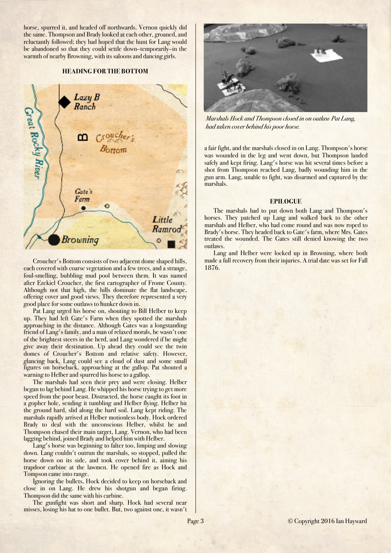horse, spurred it, and headed off northwards. Vernon quickly did the same. Thompson and Brady looked at each other, groaned, and reluctantly followed; they had hoped that the hunt for Lang would be abandoned so that they could settle down–temporarily–in the warmth of nearby Browning, with its saloons and dancing girls.

#### **HEADING FOR THE BOTTOM**



Croucher's Bottom consists of two adjacent dome shaped hills, each covered with coarse vegetation and a few trees, and a strange, foul-smelling, bubbling mud pool between them. It was named after Ezekiel Croucher, the first cartographer of Frome County. Although not that high, the hills dominate the flat landscape, offering cover and good views. They therefore represented a very good place for some outlaws to hunker down in.

Pat Lang urged his horse on, shouting to Bill Helber to keep up. They had left Gate's Farm when they spotted the marshals approaching in the distance. Although Gates was a longstanding friend of Lang's family, and a man of relaxed morals, he wasn't one of the brightest steers in the herd, and Lang wondered if he might give away their destination. Up ahead they could see the twin domes of Croucher's Bottom and relative safety. However, glancing back, Lang could see a cloud of dust and some small figures on horseback, approaching at the gallop. Pat shouted a warning to Helber and spurred his horse to a gallop.

The marshals had seen their prey and were closing. Helber began to lag behind Lang. He whipped his horse trying to get more speed from the poor beast. Distracted, the horse caught its foot in a gopher hole, sending it tumbling and Helber flying. Helber hit the ground hard, slid along the hard soil. Lang kept riding. The marshals rapidly arrived at Helber motionless body. Hock ordered Brady to deal with the unconscious Helber, whilst he and Thompson chased their main target, Lang. Vernon, who had been lagging behind, joined Brady and helped him with Helber.

Lang's horse was beginning to falter too, limping and slowing down. Lang couldn't outrun the marshals, so stopped, pulled the horse down on its side, and took cover behind it, aiming his trapdoor carbine at the lawmen. He opened fire as Hock and Tompson came into range.

Ignoring the bullets, Hock decided to keep on horseback and close in on Lang. He drew his shotgun and began firing. Thompson did the same with his carbine.

The gunfight was short and sharp. Hock had several near misses, losing his hat to one bullet. But, two against one, it wasn't



*Marshals Hock and Thompson closed in on outlaw Pat Lang, had taken cover behind his poor horse.*

a fair fight, and the marshals closed in on Lang. Thompson's horse was wounded in the leg and went down, but Thompson landed safely and kept firing. Lang's horse was hit several times before a shot from Thompson reached Lang, badly wounding him in the gun arm. Lang, unable to fight, was disarmed and captured by the marshals.

#### **EPILOGUE**

The marshals had to put down both Lang and Thompson's horses. They patched up Lang and walked back to the other marshals and Helber, who had come round and was now roped to Brady's horse. They headed back to Gate's farm, where Mrs. Gates treated the wounded. The Gates still denied knowing the two outlaws.

Lang and Helber were locked up in Browning, where both made a full recovery from their injuries. A trial date was set for Fall 1876.